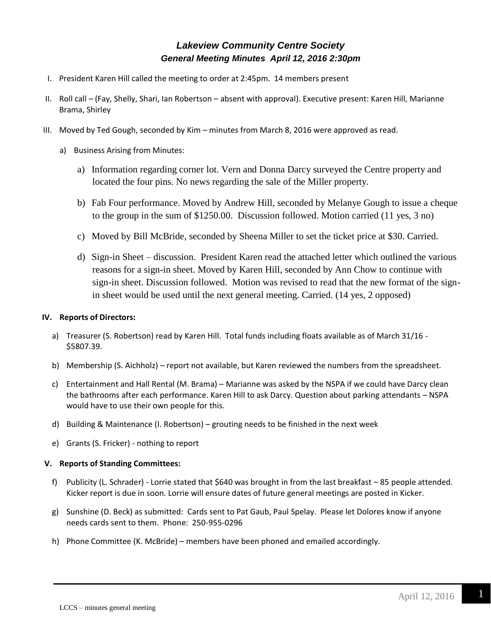# *Lakeview Community Centre Society General Meeting Minutes April 12, 2016 2:30pm*

- I. President Karen Hill called the meeting to order at 2:45pm. 14 members present
- II. Roll call (Fay, Shelly, Shari, Ian Robertson absent with approval). Executive present: Karen Hill, Marianne Brama, Shirley
- III. Moved by Ted Gough, seconded by Kim minutes from March 8, 2016 were approved as read.
	- a) Business Arising from Minutes:
		- a) Information regarding corner lot. Vern and Donna Darcy surveyed the Centre property and located the four pins. No news regarding the sale of the Miller property.
		- b) Fab Four performance. Moved by Andrew Hill, seconded by Melanye Gough to issue a cheque to the group in the sum of \$1250.00. Discussion followed. Motion carried (11 yes, 3 no)
		- c) Moved by Bill McBride, seconded by Sheena Miller to set the ticket price at \$30. Carried.
		- d) Sign-in Sheet discussion. President Karen read the attached letter which outlined the various reasons for a sign-in sheet. Moved by Karen Hill, seconded by Ann Chow to continue with sign-in sheet. Discussion followed. Motion was revised to read that the new format of the signin sheet would be used until the next general meeting. Carried. (14 yes, 2 opposed)

## **IV. Reports of Directors:**

- a) Treasurer (S. Robertson) read by Karen Hill. Total funds including floats available as of March 31/16 \$5807.39.
- b) Membership (S. Aichholz) report not available, but Karen reviewed the numbers from the spreadsheet.
- c) Entertainment and Hall Rental (M. Brama) Marianne was asked by the NSPA if we could have Darcy clean the bathrooms after each performance. Karen Hill to ask Darcy. Question about parking attendants – NSPA would have to use their own people for this.
- d) Building & Maintenance (I. Robertson) grouting needs to be finished in the next week
- e) Grants (S. Fricker) nothing to report

#### **V. Reports of Standing Committees:**

- f) Publicity (L. Schrader) Lorrie stated that \$640 was brought in from the last breakfast 85 people attended. Kicker report is due in soon. Lorrie will ensure dates of future general meetings are posted in Kicker.
- g) Sunshine (D. Beck) as submitted: Cards sent to Pat Gaub, Paul Spelay. Please let Dolores know if anyone needs cards sent to them. Phone: 250-955-0296
- h) Phone Committee (K. McBride) members have been phoned and emailed accordingly.